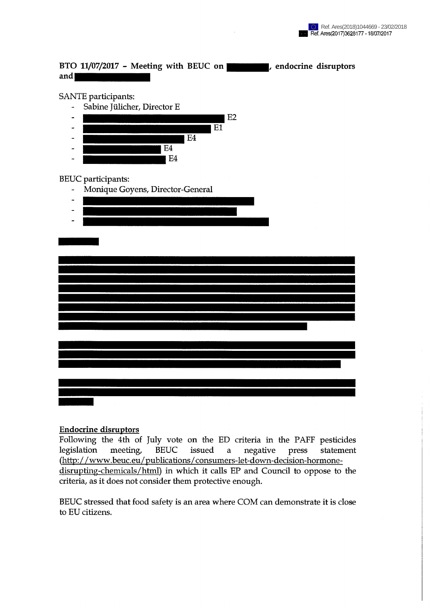## BTO 11/07/2017 - Meeting with BEUC on **Fig. 1.** endocrine disruptors and **the contract of the contract of the contract of the contract of the contract of the contract of the contract of the contract of the contract of the contract of the contract of the contract of the contract of the contr**

## SANTE participants:



## BEUC participants:

- Monique Goyens, Director-General
- $\overline{a}$
- 



## Endocrine disruptors

Following the 4th of July vote on the ED criteria in the PAFF pesticides legislation meeting, BEUC issued a negative press statement (http://[www.beuc.eu/publications/consumers-let-down-decision-hormone](http://www.beuc.eu/publications/consumers-let-down-decision-hormone-)disrupting-chemicals/html) in which it calls EP and Council to oppose to the criteria, as it does not consider them protective enough.

BEUC stressed that food safety is an area where COM can demonstrate it is close to EU citizens.